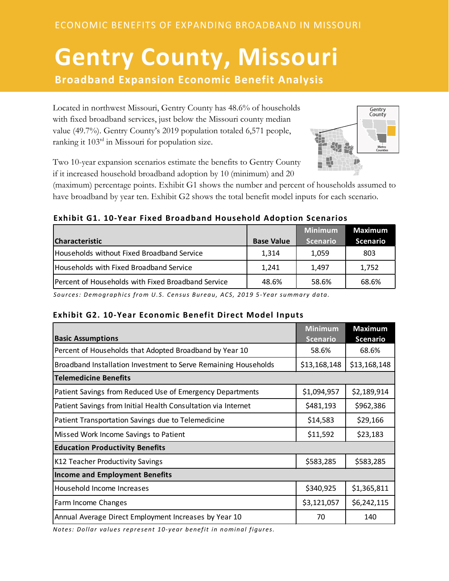# **Gentry County, Missouri Broadband Expansion Economic Benefit Analysis**

 $\overline{\phantom{a}}$  Located in northwest Missouri, Gentry County has 48.6% of households with fixed broadband services, just below the Missouri county median value (49.7%). Gentry County's 2019 population totaled 6,571 people, ranking it 103rd in Missouri for population size.



Two 10-year expansion scenarios estimate the benefits to Gentry County if it increased household broadband adoption by 10 (minimum) and 20

(maximum) percentage points. Exhibit G1 shows the number and percent of households assumed to have broadband by year ten. Exhibit G2 shows the total benefit model inputs for each scenario.

## **Exhibit G1. 10-Year Fixed Broadband Household Adoption Scenarios**

|                                                    |                   | <b>Minimum</b>  | <b>Maximum</b>  |
|----------------------------------------------------|-------------------|-----------------|-----------------|
| <b>Characteristic</b>                              | <b>Base Value</b> | <b>Scenario</b> | <b>Scenario</b> |
| Households without Fixed Broadband Service         | 1.314             | 1.059           | 803             |
| Households with Fixed Broadband Service            | 1,241             | 1.497           | 1,752           |
| Percent of Households with Fixed Broadband Service | 48.6%             | 58.6%           | 68.6%           |

*Sources: Demographics from U.S. Census Bureau, ACS, 2019 5-Year summary data.*

## **Exhibit G2. 10-Year Economic Benefit Direct Model Inputs**

| <b>Basic Assumptions</b>                                        | <b>Minimum</b><br><b>Scenario</b> | <b>Maximum</b><br><b>Scenario</b> |  |
|-----------------------------------------------------------------|-----------------------------------|-----------------------------------|--|
| Percent of Households that Adopted Broadband by Year 10         | 58.6%                             | 68.6%                             |  |
| Broadband Installation Investment to Serve Remaining Households | \$13,168,148                      | \$13,168,148                      |  |
| <b>Telemedicine Benefits</b>                                    |                                   |                                   |  |
| Patient Savings from Reduced Use of Emergency Departments       | \$1,094,957                       | \$2,189,914                       |  |
| Patient Savings from Initial Health Consultation via Internet   | \$481,193                         | \$962,386                         |  |
| Patient Transportation Savings due to Telemedicine              | \$14,583                          | \$29,166                          |  |
| Missed Work Income Savings to Patient                           | \$11,592                          | \$23,183                          |  |
| <b>Education Productivity Benefits</b>                          |                                   |                                   |  |
| K12 Teacher Productivity Savings                                | \$583,285                         | \$583,285                         |  |
| <b>Income and Employment Benefits</b>                           |                                   |                                   |  |
| Household Income Increases                                      | \$340,925                         | \$1,365,811                       |  |
| Farm Income Changes                                             | \$3,121,057                       | \$6,242,115                       |  |
| Annual Average Direct Employment Increases by Year 10           | 70                                | 140                               |  |

*Notes: Dollar values represent 10-year benefit in nominal figures.*